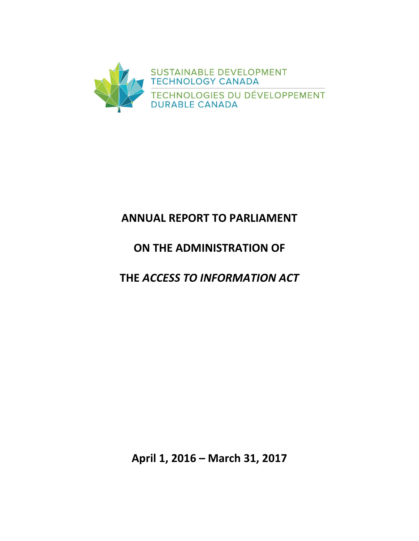

# **ANNUAL REPORT TO PARLIAMENT**

# **ON THE ADMINISTRATION OF**

**THE** *ACCESS TO INFORMATION ACT*

**April 1, 2016 – March 31, 2017**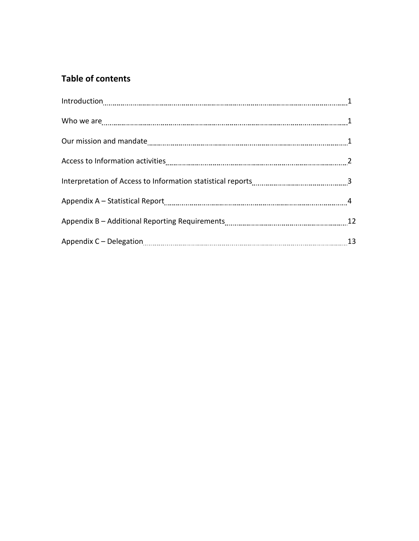# **Table of contents**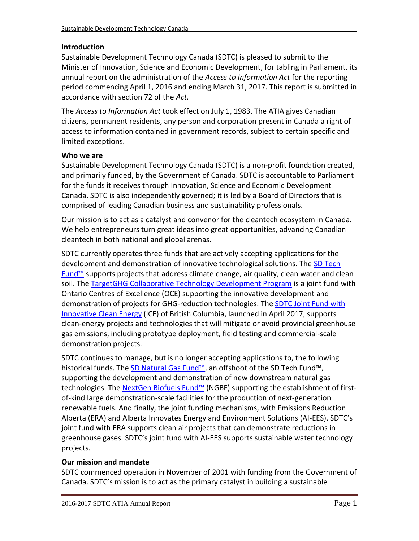## **Introduction**

Sustainable Development Technology Canada (SDTC) is pleased to submit to the Minister of Innovation, Science and Economic Development, for tabling in Parliament, its annual report on the administration of the *Access to Information Act* for the reporting period commencing April 1, 2016 and ending March 31, 2017. This report is submitted in accordance with section 72 of the *Act.*

The *Access to Information Act* took effect on July 1, 1983. The ATIA gives Canadian citizens, permanent residents, any person and corporation present in Canada a right of access to information contained in government records, subject to certain specific and limited exceptions.

## **Who we are**

Sustainable Development Technology Canada (SDTC) is a non-profit foundation created, and primarily funded, by the Government of Canada. SDTC is accountable to Parliament for the funds it receives through Innovation, Science and Economic Development Canada. SDTC is also independently governed; it is led by a Board of Directors that is comprised of leading Canadian business and sustainability professionals.

Our mission is to act as a catalyst and convenor for the cleantech ecosystem in Canada. We help entrepreneurs turn great ideas into great opportunities, advancing Canadian cleantech in both national and global arenas.

SDTC currently operates three funds that are actively accepting applications for the development and demonstration of innovative technological solutions. The [SD Tech](https://www.sdtc.ca/en/apply/sd-tech-fund)  [Fund™](https://www.sdtc.ca/en/apply/sd-tech-fund) supports projects that address climate change, air quality, clean water and clean soil. The [TargetGHG Collaborative Technology Development Program](https://www.sdtc.ca/en/apply/funds/targetghg-collaborative-technology-development-program) is a joint fund with Ontario Centres of Excellence (OCE) supporting the innovative development and demonstration of projects for GHG-reduction technologies. The **SDTC Joint Fund with** [Innovative Clean Energy](https://www.sdtc.ca/en/apply/funds/sdtc-joint-fund-ice-fund) (ICE) of British Columbia, launched in April 2017, supports clean-energy projects and technologies that will mitigate or avoid provincial greenhouse gas emissions, including prototype deployment, field testing and commercial-scale demonstration projects.

SDTC continues to manage, but is no longer accepting applications to, the following historical funds. The [SD Natural Gas Fund™,](https://www.sdtc.ca/en/apply/sd-natural-gas-fund) an offshoot of the SD Tech Fund™, supporting the development and demonstration of new downstream natural gas technologies. The [NextGen Biofuels Fund™](https://www.sdtc.ca/en/funding/funds/nextgen) (NGBF) supporting the establishment of firstof-kind large demonstration-scale facilities for the production of next-generation renewable fuels. And finally, the joint funding mechanisms, with Emissions Reduction Alberta (ERA) and Alberta Innovates Energy and Environment Solutions (AI-EES). SDTC's joint fund with ERA supports clean air projects that can demonstrate reductions in greenhouse gases. SDTC's joint fund with AI-EES supports sustainable water technology projects.

## **Our mission and mandate**

SDTC commenced operation in November of 2001 with funding from the Government of Canada. SDTC's mission is to act as the primary catalyst in building a sustainable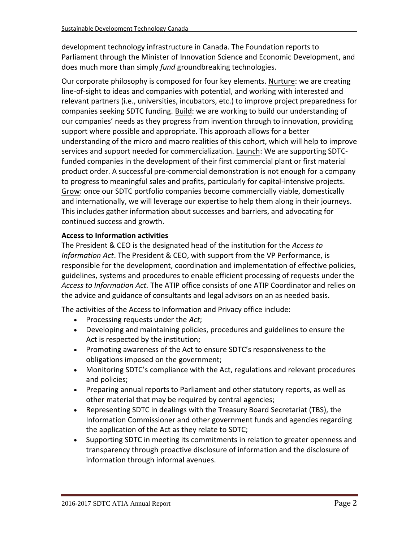development technology infrastructure in Canada. The Foundation reports to Parliament through the Minister of Innovation Science and Economic Development, and does much more than simply *fund* groundbreaking technologies.

Our corporate philosophy is composed for four key elements. Nurture: we are creating line-of-sight to ideas and companies with potential, and working with interested and relevant partners (i.e., universities, incubators, etc.) to improve project preparedness for companies seeking SDTC funding. Build: we are working to build our understanding of our companies' needs as they progress from invention through to innovation, providing support where possible and appropriate. This approach allows for a better understanding of the micro and macro realities of this cohort, which will help to improve services and support needed for commercialization. Launch: We are supporting SDTCfunded companies in the development of their first commercial plant or first material product order. A successful pre-commercial demonstration is not enough for a company to progress to meaningful sales and profits, particularly for capital-intensive projects. Grow: once our SDTC portfolio companies become commercially viable, domestically and internationally, we will leverage our expertise to help them along in their journeys. This includes gather information about successes and barriers, and advocating for continued success and growth.

## **Access to Information activities**

The President & CEO is the designated head of the institution for the *Access to Information Act*. The President & CEO, with support from the VP Performance, is responsible for the development, coordination and implementation of effective policies, guidelines, systems and procedures to enable efficient processing of requests under the *Access to Information Act.* The ATIP office consists of one ATIP Coordinator and relies on the advice and guidance of consultants and legal advisors on an as needed basis.

The activities of the Access to Information and Privacy office include:

- Processing requests under the *Act*;
- Developing and maintaining policies, procedures and guidelines to ensure the Act is respected by the institution;
- Promoting awareness of the Act to ensure SDTC's responsiveness to the obligations imposed on the government;
- Monitoring SDTC's compliance with the Act, regulations and relevant procedures and policies;
- Preparing annual reports to Parliament and other statutory reports, as well as other material that may be required by central agencies;
- Representing SDTC in dealings with the Treasury Board Secretariat (TBS), the Information Commissioner and other government funds and agencies regarding the application of the Act as they relate to SDTC;
- Supporting SDTC in meeting its commitments in relation to greater openness and transparency through proactive disclosure of information and the disclosure of information through informal avenues.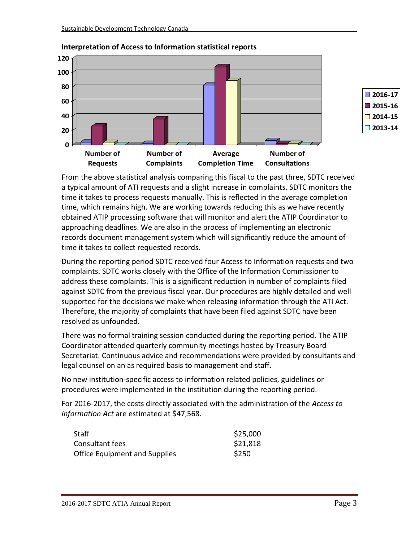



**2016-17 2015-16 2014-15 2013-14**

From the above statistical analysis comparing this fiscal to the past three, SDTC received a typical amount of ATI requests and a slight increase in complaints. SDTC monitors the time it takes to process requests manually. This is reflected in the average completion time, which remains high. We are working towards reducing this as we have recently obtained ATIP processing software that will monitor and alert the ATIP Coordinator to approaching deadlines. We are also in the process of implementing an electronic records document management system which will significantly reduce the amount of time it takes to collect requested records.

During the reporting period SDTC received four Access to Information requests and two complaints. SDTC works closely with the Office of the Information Commissioner to address these complaints. This is a significant reduction in number of complaints filed against SDTC from the previous fiscal year. Our procedures are highly detailed and well supported for the decisions we make when releasing information through the ATI Act. Therefore, the majority of complaints that have been filed against SDTC have been resolved as unfounded.

There was no formal training session conducted during the reporting period. The ATIP Coordinator attended quarterly community meetings hosted by Treasury Board Secretariat. Continuous advice and recommendations were provided by consultants and legal counsel on an as required basis to management and staff.

No new institution-specific access to information related policies, guidelines or procedures were implemented in the institution during the reporting period.

For 2016-2017, the costs directly associated with the administration of the *Access to Information Act* are estimated at \$47,568.

| Staff                                | \$25,000 |
|--------------------------------------|----------|
| Consultant fees                      | \$21,818 |
| <b>Office Equipment and Supplies</b> | \$250    |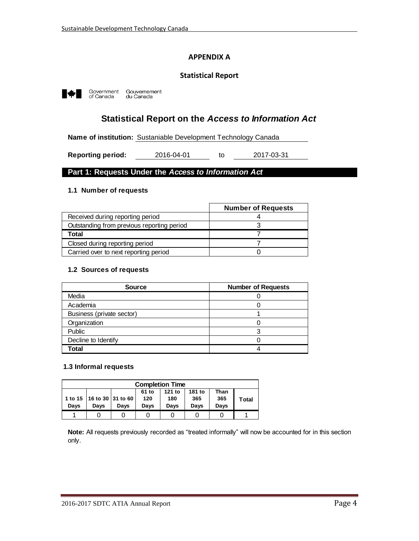## **APPENDIX A**

#### **Statistical Report**



Government<br>of Canada Gouvernement<br>du Canada

# **Statistical Report on the** *Access to Information Act*

**Name of institution:** Sustaniable Development Technology Canada

to **Reporting period:** 2016-04-01 to 2017-03-31

#### **Part 1: Requests Under the** *Access to Information Act*

#### **1.1 Number of requests**

|                                            | <b>Number of Requests</b> |
|--------------------------------------------|---------------------------|
| Received during reporting period           |                           |
| Outstanding from previous reporting period |                           |
| Total                                      |                           |
| Closed during reporting period             |                           |
| Carried over to next reporting period      |                           |

#### **1.2 Sources of requests**

| <b>Source</b>             | <b>Number of Requests</b> |
|---------------------------|---------------------------|
| Media                     |                           |
| Academia                  |                           |
| Business (private sector) |                           |
| Organization              |                           |
| Public                    |                           |
| Decline to Identify       |                           |
| Total                     |                           |

#### **1.3 Informal requests**

| <b>Completion Time</b>                                                                                                                                 |  |  |  |  |  |              |  |  |
|--------------------------------------------------------------------------------------------------------------------------------------------------------|--|--|--|--|--|--------------|--|--|
| 181 to<br>121 to<br>61 to<br>Than<br>1 to 15   16 to 30   31 to 60<br>120<br>365<br>180<br>365<br>Days<br>Davs<br>Davs<br>Davs<br>Davs<br>Davs<br>Davs |  |  |  |  |  | <b>Total</b> |  |  |
|                                                                                                                                                        |  |  |  |  |  |              |  |  |

**Note:** All requests previously recorded as "treated informally" will now be accounted for in this section only.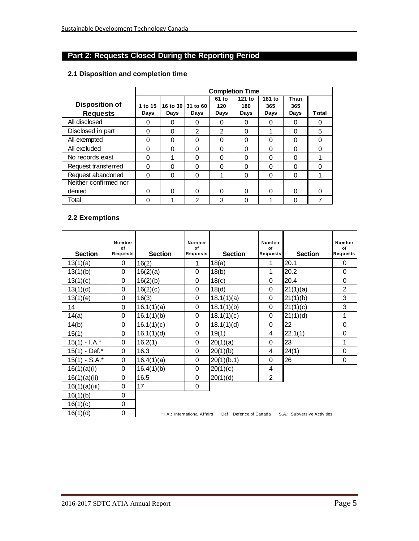# **Part 2: Requests Closed During the Reporting Period**

#### **2.1 Disposition and completion time**

|                                          | <b>Completion Time</b> |                  |                  |                      |                       |                       |                     |       |
|------------------------------------------|------------------------|------------------|------------------|----------------------|-----------------------|-----------------------|---------------------|-------|
| <b>Disposition of</b><br><b>Requests</b> | 1 to 15<br>Days        | 16 to 30<br>Days | 31 to 60<br>Days | 61 to<br>120<br>Days | 121 to<br>180<br>Days | 181 to<br>365<br>Days | Than<br>365<br>Days | Total |
| All disclosed                            | 0                      | 0                | 0                | 0                    | 0                     | 0                     | 0                   | 0     |
| Disclosed in part                        | 0                      | $\Omega$         | $\mathfrak{p}$   | 2                    | $\Omega$              | 1                     | 0                   | 5     |
| All exempted                             | 0                      | 0                | 0                | $\Omega$             | $\Omega$              | $\Omega$              | $\Omega$            | 0     |
| All excluded                             | 0                      | $\Omega$         | 0                | 0                    | $\Omega$              | $\Omega$              | $\Omega$            | 0     |
| No records exist                         | 0                      | 4                | 0                | $\Omega$             | $\Omega$              | $\Omega$              | $\Omega$            |       |
| Request transferred                      | 0                      | 0                | 0                | 0                    | 0                     | 0                     | 0                   | 0     |
| Request abandoned                        | 0                      | 0                | 0                | 1                    | $\Omega$              | 0                     | 0                   |       |
| Neither confirmed nor                    |                        |                  |                  |                      |                       |                       |                     |       |
| denied                                   | O                      | 0                | 0                | 0                    | ∩                     | 0                     | $\Omega$            | ი     |
| Total                                    | 0                      |                  | 2                | 3                    | ∩                     |                       | 0                   |       |

#### **2.2 Exemptions**

| <b>Section</b>  | Number<br>of<br><b>Requests</b> | <b>Section</b> | Number<br>of<br>Requests      | <b>Section</b>          | Number<br>Ωf<br>Requests | <b>Section</b>              | <b>Number</b><br>of<br><b>Requests</b> |
|-----------------|---------------------------------|----------------|-------------------------------|-------------------------|--------------------------|-----------------------------|----------------------------------------|
| 13(1)(a)        | 0                               | 16(2)          | 1                             | 18(a)                   | 1                        | 20.1                        | 0                                      |
| 13(1)(b)        | 0                               | 16(2)(a)       | 0                             | 18(b)                   | 1                        | 20.2                        | 0                                      |
| 13(1)(c)        | 0                               | 16(2)(b)       | $\Omega$                      | 18(c)                   | $\Omega$                 | 20.4                        | 0                                      |
| 13(1)(d)        | 0                               | 16(2)(c)       | 0                             | 18(d)                   | 0                        | 21(1)(a)                    | $\overline{2}$                         |
| 13(1)(e)        | 0                               | 16(3)          | 0                             | 18.1(1)(a)              | 0                        | 21(1)(b)                    | 3                                      |
| 14              | 0                               | 16.1(1)(a)     | $\Omega$                      | 18.1(1)(b)              | 0                        | 21(1)(c)                    | 3                                      |
| 14(a)           | 0                               | 16.1(1)(b)     | 0                             | 18.1(1)(c)              | 0                        | 21(1)(d)                    | 1                                      |
| 14(b)           | $\mathbf 0$                     | 16.1(1)(c)     | 0                             | 18.1(1)(d)              | $\Omega$                 | 22                          | $\mathbf 0$                            |
| 15(1)           | $\Omega$                        | 16.1(1)(d)     | 0                             | 19(1)                   | 4                        | 22.1(1)                     | 0                                      |
| $15(1) - I.A.*$ | 0                               | 16.2(1)        | 0                             | 20(1)(a)                | 0                        | 23                          | 1                                      |
| 15(1) - Def.*   | $\Omega$                        | 16.3           | 0                             | 20(1)(b)                | 4                        | 24(1)                       | 0                                      |
| $15(1) - S.A.*$ | $\Omega$                        | 16.4(1)(a)     | 0                             | 20(1)(b.1)              | $\Omega$                 | 26                          | 0                                      |
| 16(1)(a)(i)     | 0                               | 16.4(1)(b)     | 0                             | 20(1)(c)                | 4                        |                             |                                        |
| 16(1)(a)(ii)    | 0                               | 16.5           | 0                             | 20(1)(d)                | $\overline{2}$           |                             |                                        |
| 16(1)(a)(iii)   | 0                               | 17             | 0                             |                         |                          |                             |                                        |
| 16(1)(b)        | 0                               |                |                               |                         |                          |                             |                                        |
| 16(1)(c)        | 0                               |                |                               |                         |                          |                             |                                        |
| 16(1)(d)        | 0                               |                | * I.A.: International Affairs | Def.: Defence of Canada |                          | S.A.: Subversive Activities |                                        |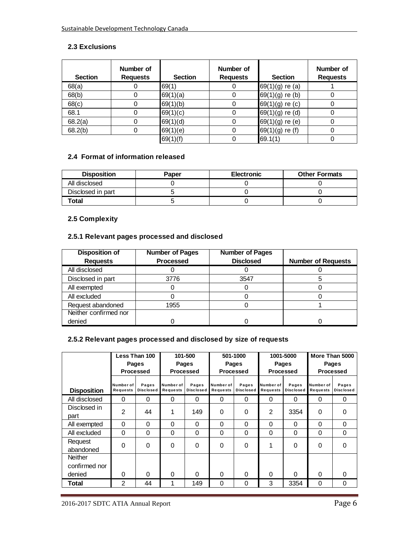## **2.3 Exclusions**

| <b>Section</b> | Number of<br><b>Requests</b> | <b>Section</b> | Number of<br><b>Requests</b> | <b>Section</b>    | Number of<br><b>Requests</b> |
|----------------|------------------------------|----------------|------------------------------|-------------------|------------------------------|
| 68(a)          |                              | 69(1)          |                              | $69(1)(g)$ re (a) |                              |
| 68(b)          |                              | 69(1)(a)       | 0                            | $69(1)(g)$ re (b) |                              |
| 68(c)          |                              | 69(1)(b)       | 0                            | 69(1)(g) re (c)   |                              |
| 68.1           |                              | 69(1)(c)       | 0                            | $69(1)(g)$ re (d) |                              |
| 68.2(a)        |                              | 69(1)(d)       | 0                            | $69(1)(g)$ re (e) |                              |
| 68.2(b)        |                              | 69(1)(e)       | 0                            | $69(1)(g)$ re (f) |                              |
|                |                              | 69(1)(f)       |                              | 69.1(1)           |                              |

#### **2.4 Format of information released**

| <b>Disposition</b> | Paper | <b>Electronic</b> | <b>Other Formats</b> |
|--------------------|-------|-------------------|----------------------|
| All disclosed      |       |                   |                      |
| Disclosed in part  |       |                   |                      |
| Total              |       |                   |                      |

## **2.5 Complexity**

## **2.5.1 Relevant pages processed and disclosed**

| <b>Disposition of</b> | <b>Number of Pages</b> | <b>Number of Pages</b> |                           |
|-----------------------|------------------------|------------------------|---------------------------|
| <b>Requests</b>       | <b>Processed</b>       | <b>Disclosed</b>       | <b>Number of Requests</b> |
| All disclosed         |                        |                        |                           |
| Disclosed in part     | 3776                   | 3547                   |                           |
| All exempted          |                        |                        |                           |
| All excluded          |                        |                        |                           |
| Request abandoned     | 1955                   |                        |                           |
| Neither confirmed nor |                        |                        |                           |
| denied                |                        |                        |                           |

## **2.5.2 Relevant pages processed and disclosed by size of requests**

|                                           | Less Than 100                |                           |                       | 101-500                   | 501-1000              |                           | 1001-5000             |                           | More Than 5000        |                           |  |
|-------------------------------------------|------------------------------|---------------------------|-----------------------|---------------------------|-----------------------|---------------------------|-----------------------|---------------------------|-----------------------|---------------------------|--|
|                                           |                              | Pages                     |                       | Pages                     | Pages                 |                           | Pages                 |                           | Pages                 |                           |  |
|                                           |                              | <b>Processed</b>          |                       | <b>Processed</b>          |                       | Processed                 |                       | Processed                 |                       | <b>Processed</b>          |  |
| <b>Disposition</b>                        | Number of<br><b>Requests</b> | Pages<br><b>Disclosed</b> | Number of<br>Requests | Pages<br><b>Disclosed</b> | Number of<br>Requests | Pages<br><b>Disclosed</b> | Number of<br>Requests | Pages<br><b>Disclosed</b> | Number of<br>Requests | Pages<br><b>Disclosed</b> |  |
| All disclosed                             | $\Omega$                     | $\Omega$                  | 0                     | $\Omega$                  | 0                     | 0                         | $\Omega$              | 0                         | $\Omega$              | 0                         |  |
| Disclosed in<br>part                      | $\mathfrak{p}$               | 44                        | 1                     | 149                       | 0                     | 0                         | $\mathfrak{p}$        | 3354                      | $\Omega$              | $\Omega$                  |  |
| All exempted                              | 0                            | $\Omega$                  | 0                     | 0                         | 0                     | $\Omega$                  | $\Omega$              | 0                         | $\Omega$              | $\Omega$                  |  |
| All excluded                              | $\Omega$                     | $\Omega$                  | 0                     | 0                         | 0                     | $\Omega$                  | 0                     | 0                         | $\Omega$              | $\Omega$                  |  |
| Request<br>abandoned                      | 0                            | $\Omega$                  | 0                     | 0                         | 0                     | $\Omega$                  |                       | 0                         | $\Omega$              | $\Omega$                  |  |
| <b>Neither</b><br>confirmed nor<br>denied | $\Omega$                     | $\Omega$                  | O                     | 0                         | $\Omega$              | $\Omega$                  | $\Omega$              | O                         | $\Omega$              | $\Omega$                  |  |
| Total                                     | $\mathfrak{p}$               | 44                        | 1                     | 149                       | 0                     | 0                         | 3                     | 3354                      | 0                     | $\Omega$                  |  |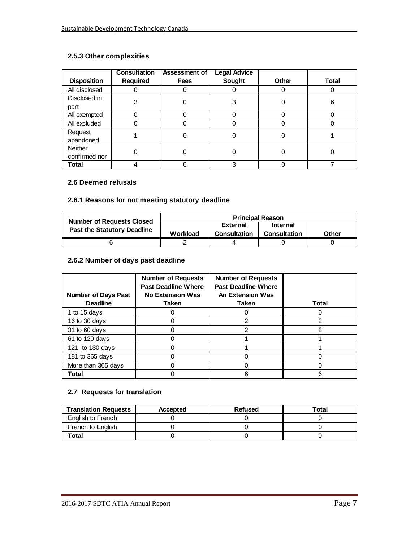#### **2.5.3 Other complexities**

|                    | <b>Consultation</b> | Assessment of | <b>Legal Advice</b> |              |              |
|--------------------|---------------------|---------------|---------------------|--------------|--------------|
| <b>Disposition</b> | Required            | <b>Fees</b>   | Sought              | <b>Other</b> | <b>Total</b> |
| All disclosed      |                     |               |                     |              |              |
| Disclosed in       | 3                   |               | 3                   |              | 6            |
| part               |                     |               |                     |              |              |
| All exempted       |                     |               |                     |              |              |
| All excluded       |                     |               |                     | 0            |              |
| Request            |                     |               |                     |              |              |
| abandoned          |                     |               |                     |              |              |
| Neither            |                     |               |                     |              |              |
| confirmed nor      |                     |               |                     |              |              |
| Total              |                     |               | 3                   |              |              |

#### **2.6 Deemed refusals**

## **2.6.1 Reasons for not meeting statutory deadline**

| <b>Number of Requests Closed</b>   |          | <b>Principal Reason</b>     |                     |       |  |
|------------------------------------|----------|-----------------------------|---------------------|-------|--|
| <b>Past the Statutory Deadline</b> |          | <b>Internal</b><br>External |                     |       |  |
|                                    | Workload | <b>Consultation</b>         | <b>Consultation</b> | Other |  |
|                                    |          |                             |                     |       |  |

## **2.6.2 Number of days past deadline**

| <b>Number of Days Past</b><br><b>Deadline</b> | <b>Number of Requests</b><br><b>Past Deadline Where</b><br><b>No Extension Was</b><br><b>Taken</b> | <b>Number of Requests</b><br><b>Past Deadline Where</b><br><b>An Extension Was</b><br>Taken | <b>Total</b> |
|-----------------------------------------------|----------------------------------------------------------------------------------------------------|---------------------------------------------------------------------------------------------|--------------|
| 1 to 15 days                                  |                                                                                                    |                                                                                             |              |
| 16 to 30 days                                 |                                                                                                    | 2                                                                                           |              |
| 31 to 60 days                                 |                                                                                                    | 2                                                                                           |              |
| 61 to 120 days                                |                                                                                                    |                                                                                             |              |
| 121 to 180 days                               |                                                                                                    |                                                                                             |              |
| 181 to 365 days                               |                                                                                                    |                                                                                             |              |
| More than 365 days                            |                                                                                                    |                                                                                             |              |
| Total                                         |                                                                                                    | 6                                                                                           |              |

## **2.7 Requests for translation**

| <b>Translation Requests</b> | <b>Accepted</b> | <b>Refused</b> | Total |
|-----------------------------|-----------------|----------------|-------|
| English to French           |                 |                |       |
| French to English           |                 |                |       |
| Total                       |                 |                |       |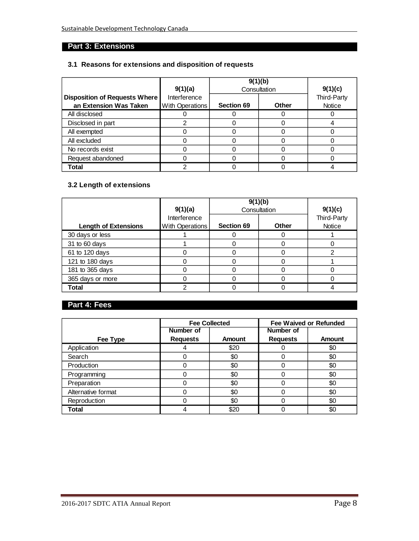# **Part 3: Extensions**

## **3.1 Reasons for extensions and disposition of requests**

|                                                         | 9(1)(a)                         | 9(1)(b)           | Consultation | 9(1)(c)               |
|---------------------------------------------------------|---------------------------------|-------------------|--------------|-----------------------|
| Disposition of Requests Where<br>an Extension Was Taken | Interference<br>With Operations | <b>Section 69</b> | Other        | Third-Party<br>Notice |
| All disclosed                                           |                                 |                   |              |                       |
| Disclosed in part                                       |                                 |                   |              |                       |
| All exempted                                            |                                 |                   |              |                       |
| All excluded                                            |                                 |                   |              |                       |
| No records exist                                        |                                 |                   |              |                       |
| Request abandoned                                       |                                 |                   |              |                       |
| Total                                                   |                                 |                   |              |                       |

## **3.2 Length of extensions**

|                             | 9(1)(a)                         | 9(1)(b)           | Consultation | 9(1)(c)               |
|-----------------------------|---------------------------------|-------------------|--------------|-----------------------|
| <b>Length of Extensions</b> | Interference<br>With Operations | <b>Section 69</b> | Other        | Third-Party<br>Notice |
| 30 days or less             |                                 |                   |              |                       |
| 31 to 60 days               |                                 |                   |              |                       |
| 61 to 120 days              |                                 |                   |              |                       |
| 121 to 180 days             |                                 |                   |              |                       |
| 181 to 365 days             |                                 |                   |              |                       |
| 365 days or more            |                                 |                   |              |                       |
| Total                       | ⌒                               |                   |              |                       |

## **Part 4: Fees**

|                    |                 | <b>Fee Collected</b> |                 | <b>Fee Waived or Refunded</b> |
|--------------------|-----------------|----------------------|-----------------|-------------------------------|
|                    | Number of       |                      | Number of       |                               |
| Fee Type           | <b>Requests</b> | <b>Amount</b>        | <b>Requests</b> | Amount                        |
| Application        |                 | \$20                 |                 | \$0                           |
| Search             |                 | \$0                  | 0               | \$0                           |
| Production         |                 | \$0                  | Ω               | \$0                           |
| Programming        |                 | \$0                  | 0               | \$0                           |
| Preparation        |                 | \$0                  | 0               | \$0                           |
| Alternative format |                 | \$0                  | 0               | \$0                           |
| Reproduction       |                 | \$0                  | 0               | \$0                           |
| Total              |                 | \$20                 |                 | \$0                           |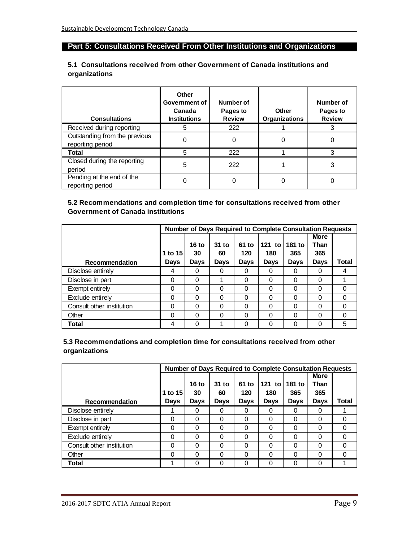# **Part 5: Consultations Received From Other Institutions and Organizations**

#### **5.1 Consultations received from other Government of Canada institutions and organizations**

| <b>Consultations</b>                              | Other<br>Government of<br>Canada<br><b>Institutions</b> | Number of<br>Pages to<br><b>Review</b> | Other<br><b>Organizations</b> | Number of<br>Pages to<br><b>Review</b> |
|---------------------------------------------------|---------------------------------------------------------|----------------------------------------|-------------------------------|----------------------------------------|
| Received during reporting                         | 5                                                       | 222                                    |                               | 3                                      |
| Outstanding from the previous<br>reporting period | 0                                                       | 0                                      | 0                             | 0                                      |
| Total                                             | 5                                                       | 222                                    |                               | 3                                      |
| Closed during the reporting<br>period             | 5                                                       | 222                                    |                               | 3                                      |
| Pending at the end of the<br>reporting period     |                                                         |                                        |                               |                                        |

#### **5.2 Recommendations and completion time for consultations received from other Government of Canada institutions**

|                           |             |              |             |          | Number of Days Required to Complete Consultation Requests |             |             |       |
|---------------------------|-------------|--------------|-------------|----------|-----------------------------------------------------------|-------------|-------------|-------|
|                           |             |              |             |          |                                                           |             | <b>More</b> |       |
|                           |             | <b>16 to</b> | $31$ to     | 61 to    | 121 to                                                    | 181 to      | Than        |       |
|                           | 1 to 15     | 30           | 60          | 120      | 180                                                       | 365         | 365         |       |
| Recommendation            | <b>Days</b> | <b>Days</b>  | <b>Days</b> | Days     | Days                                                      | <b>Days</b> | <b>Days</b> | Total |
| Disclose entirely         | 4           | 0            | 0           | 0        |                                                           |             | 0           | 4     |
| Disclose in part          | $\Omega$    | 0            |             | 0        | 0                                                         | 0           | 0           |       |
| Exempt entirely           | $\Omega$    | 0            | 0           | $\Omega$ | 0                                                         | 0           | 0           | 0     |
| Exclude entirely          | 0           | 0            | $\Omega$    | $\Omega$ | ∩                                                         | 0           | 0           | 0     |
| Consult other institution | $\Omega$    | 0            | 0           | 0        | 0                                                         | 0           | 0           | 0     |
| Other                     | $\Omega$    | 0            | 0           | 0        |                                                           | 0           | 0           | 0     |
| Total                     | 4           | 0            |             | 0        |                                                           | ი           | 0           | 5     |

#### **5.3 Recommendations and completion time for consultations received from other organizations**

|                           |             |             |             |          | <b>Number of Days Required to Complete Consultation Requests</b> |             |             |       |
|---------------------------|-------------|-------------|-------------|----------|------------------------------------------------------------------|-------------|-------------|-------|
|                           |             |             |             |          |                                                                  |             | <b>More</b> |       |
|                           |             | 16 to       | $31$ to     | 61 to    | 121 to                                                           | 181 to      | Than        |       |
|                           | 1 to 15     | 30          | 60          | 120      | 180                                                              | 365         | 365         |       |
| Recommendation            | <b>Days</b> | <b>Days</b> | <b>Days</b> | Days     | Days                                                             | <b>Days</b> | <b>Days</b> | Total |
| Disclose entirely         |             | 0           | 0           | 0        |                                                                  | O           | 0           |       |
| Disclose in part          | $\Omega$    | 0           | $\Omega$    | $\Omega$ | 0                                                                | 0           | 0           | 0     |
| Exempt entirely           | $\Omega$    | 0           | $\Omega$    | 0        | 0                                                                | 0           | 0           | 0     |
| Exclude entirely          | 0           | 0           | $\Omega$    | $\Omega$ | ∩                                                                | 0           | 0           | 0     |
| Consult other institution | $\Omega$    | 0           | 0           | 0        | 0                                                                | 0           | 0           | 0     |
| Other                     | 0           | 0           | $\Omega$    | $\Omega$ |                                                                  | 0           | 0           | 0     |
| Total                     |             | 0           | $\Omega$    | 0        |                                                                  | ი           | 0           |       |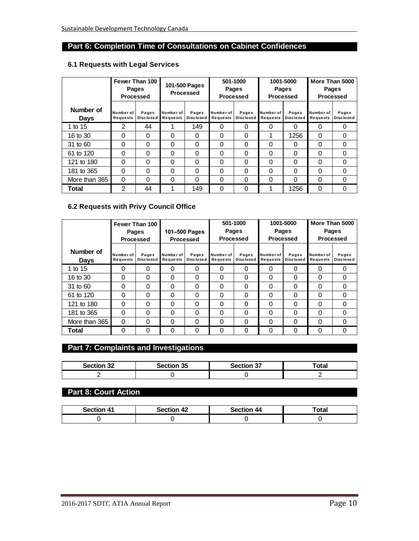## **Part 6: Completion Time of Consultations on Cabinet Confidences**

## **6.1 Requests with Legal Services**

|                          |                       | Fewer Than 100<br>Pages<br><b>Processed</b> | 101-500 Pages<br>Processed |                           | 501-1000<br>Pages<br>Processed |                      | 1001-5000<br>Pages<br><b>Processed</b> |                           | More Than 5000<br>Pages<br><b>Processed</b> |                           |
|--------------------------|-----------------------|---------------------------------------------|----------------------------|---------------------------|--------------------------------|----------------------|----------------------------------------|---------------------------|---------------------------------------------|---------------------------|
| Number of<br><b>Days</b> | Number of<br>Requests | Pages<br><b>Disclosed</b>                   | Number of<br>Requests      | Pages<br><b>Disclosed</b> | Number of<br>Requests          | Pages<br>Disclosed I | Number of<br><b>Requests</b>           | Pages<br><b>Disclosed</b> | Number of<br>Requests                       | Pages<br><b>Disclosed</b> |
| 1 to 15                  | $\mathfrak{p}$        | 44                                          |                            | 149                       | 0                              | 0                    | 0                                      | 0                         | 0                                           | 0                         |
| 16 to 30                 | 0                     | $\Omega$                                    | 0                          | 0                         | 0                              | $\Omega$             |                                        | 1256                      | $\Omega$                                    | $\Omega$                  |
| 31 to 60                 | 0                     | 0                                           | 0                          | 0                         | 0                              | 0                    | 0                                      | 0                         | 0                                           | 0                         |
| 61 to 120                | 0                     | 0                                           | 0                          | 0                         | 0                              | 0                    | 0                                      | 0                         | 0                                           | 0                         |
| 121 to 180               | 0                     | $\Omega$                                    | 0                          | 0                         | 0                              | 0                    | 0                                      | 0                         | 0                                           | 0                         |
| 181 to 365               | 0                     | $\Omega$                                    | 0                          | 0                         | 0                              | $\Omega$             | 0                                      | $\Omega$                  | 0                                           | $\Omega$                  |
| More than 365            | 0                     | 0                                           | 0                          | $\Omega$                  | 0                              | 0                    | 0                                      | 0                         | 0                                           | $\Omega$                  |
| Total                    | 2                     | 44                                          |                            | 149                       | 0                              | 0                    |                                        | 1256                      | 0                                           | $\Omega$                  |

#### **6.2 Requests with Privy Council Office**

|                   |                       | Fewer Than 100<br>Pages<br>Processed |                       | 501-1000<br>Pages<br>101-500 Pages<br>Processed<br>Processed |                       | 1001-5000<br>Pages<br><b>Processed</b> |                       | More Than 5000<br>Pages<br><b>Processed</b> |                       |                           |
|-------------------|-----------------------|--------------------------------------|-----------------------|--------------------------------------------------------------|-----------------------|----------------------------------------|-----------------------|---------------------------------------------|-----------------------|---------------------------|
| Number of<br>Days | Number of<br>Requests | Pages<br><b>Disclosed</b>            | Number of<br>Requests | Pages<br><b>Disclosed</b>                                    | Number of<br>Requests | Pages<br><b>Disclosed</b>              | Number of<br>Requests | Pages<br><b>Disclosed</b>                   | Number of<br>Requests | Pages<br><b>Disclosed</b> |
| 1 to 15           | 0                     | 0                                    | 0                     | 0                                                            | 0                     | 0                                      | 0                     | 0                                           | 0                     | $\Omega$                  |
| 16 to 30          | 0                     | 0                                    | $\Omega$              | 0                                                            | $\Omega$              | $\Omega$                               | $\Omega$              | 0                                           | 0                     | $\Omega$                  |
| 31 to 60          | 0                     | 0                                    | $\Omega$              | 0                                                            | 0                     | 0                                      | 0                     | $\Omega$                                    | $\Omega$              | 0                         |
| 61 to 120         | 0                     | 0                                    | $\Omega$              | 0                                                            | 0                     | 0                                      | $\Omega$              | $\Omega$                                    | 0                     | 0                         |
| 121 to 180        | 0                     | 0                                    | 0                     | 0                                                            | 0                     | 0                                      | 0                     | 0                                           | 0                     | 0                         |
| 181 to 365        | $\Omega$              | 0                                    | $\Omega$              | 0                                                            | 0                     | 0                                      | 0                     | 0                                           | 0                     | 0                         |
| More than 365     | 0                     | 0                                    | 0                     | 0                                                            | 0                     | 0                                      | $\Omega$              | 0                                           | $\Omega$              | 0                         |
| Total             | 0                     | 0                                    | 0                     | 0                                                            | $\Omega$              | $\Omega$                               |                       | 0                                           | 0                     | 0                         |

# **Part 7: Complaints and Investigations**

| <b>Section 32</b> | Section 35 | <b>Section 37</b><br>اد ا | Total |
|-------------------|------------|---------------------------|-------|
|                   |            |                           |       |

## **Part 8: Court Action**

| Section 41 | <b>Section 42</b> | Section 44 | Total |
|------------|-------------------|------------|-------|
|            |                   |            |       |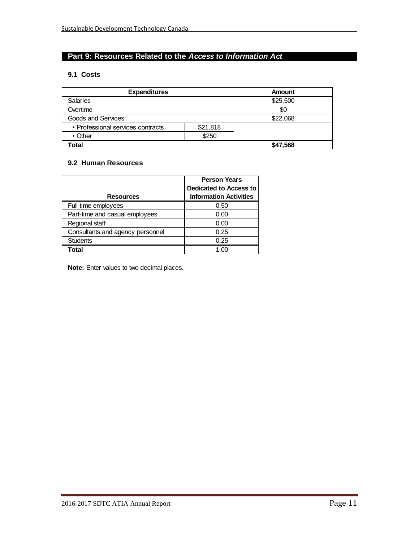## **Part 9: Resources Related to the** *Access to Information Act*

#### **9.1 Costs**

| <b>Expenditures</b>                           |       | Amount   |  |
|-----------------------------------------------|-------|----------|--|
| <b>Salaries</b>                               |       | \$25,500 |  |
| Overtime                                      |       | \$0      |  |
| Goods and Services                            |       | \$22,068 |  |
| • Professional services contracts<br>\$21,818 |       |          |  |
| $\cdot$ Other                                 | \$250 |          |  |
| Total                                         |       | \$47,568 |  |

#### **9.2 Human Resources**

|                                  | <b>Person Years</b><br><b>Dedicated to Access to</b> |  |
|----------------------------------|------------------------------------------------------|--|
| <b>Resources</b>                 | <b>Information Activities</b>                        |  |
| Full-time employees              | 0.50                                                 |  |
| Part-time and casual employees   | 0.00                                                 |  |
| Regional staff                   | 0.00                                                 |  |
| Consultants and agency personnel | 0.25                                                 |  |
| <b>Students</b>                  | 0.25                                                 |  |
| <b>Total</b>                     |                                                      |  |

**Note:** Enter values to two decimal places.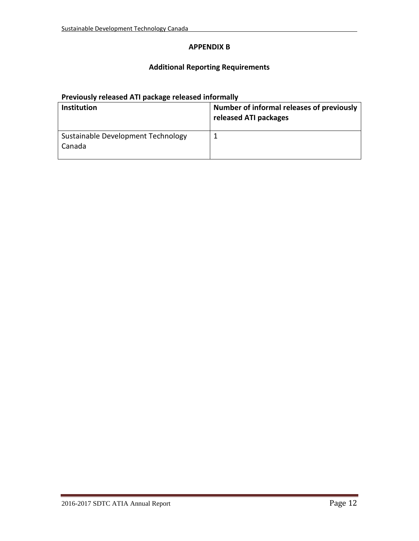## **APPENDIX B**

## **Additional Reporting Requirements**

## **Previously released ATI package released informally**

| <b>Institution</b>                           | Number of informal releases of previously<br>released ATI packages |
|----------------------------------------------|--------------------------------------------------------------------|
| Sustainable Development Technology<br>Canada |                                                                    |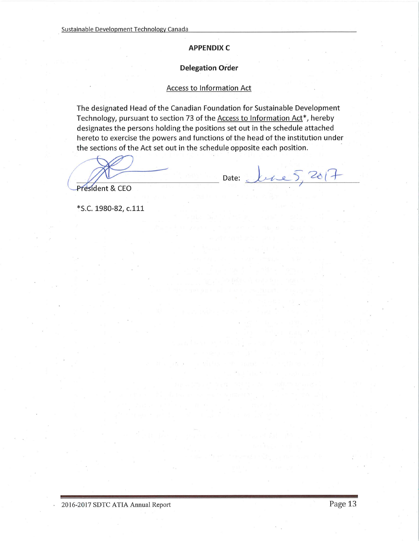#### **APPENDIX C**

#### **Delegation Order**

## **Access to Information Act**

The designated Head of the Canadian Foundation for Sustainable Development Technology, pursuant to section 73 of the Access to Information Act<sup>\*</sup>, hereby designates the persons holding the positions set out in the schedule attached hereto to exercise the powers and functions of the head of the institution under the sections of the Act set out in the schedule opposite each position.

Date:

President & CEO

\*S.C. 1980-82, c.111